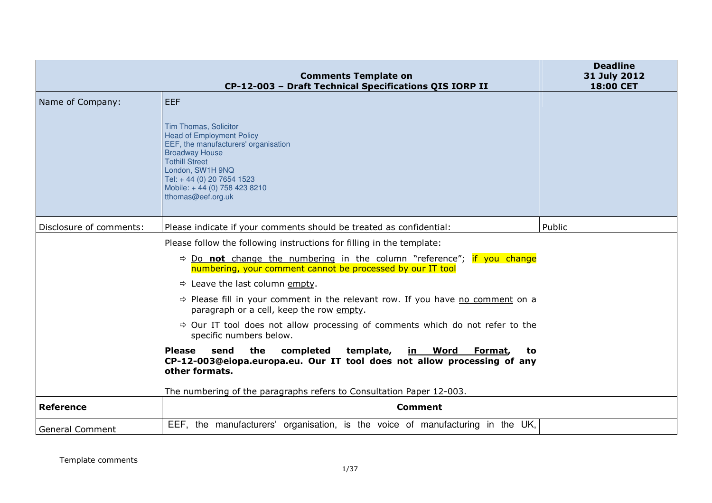|                         | <b>Comments Template on</b><br>CP-12-003 - Draft Technical Specifications QIS IORP II                                                                                                                                                                                     | <b>Deadline</b><br>31 July 2012<br><b>18:00 CET</b> |
|-------------------------|---------------------------------------------------------------------------------------------------------------------------------------------------------------------------------------------------------------------------------------------------------------------------|-----------------------------------------------------|
| Name of Company:        | <b>LEEF</b><br>Tim Thomas, Solicitor<br><b>Head of Employment Policy</b><br>EEF, the manufacturers' organisation<br><b>Broadway House</b><br><b>Tothill Street</b><br>London, SW1H 9NQ<br>Tel: +44 (0) 20 7654 1523<br>Mobile: +44 (0) 758 423 8210<br>tthomas@eef.org.uk |                                                     |
| Disclosure of comments: | Please indicate if your comments should be treated as confidential:                                                                                                                                                                                                       | Public                                              |
|                         | Please follow the following instructions for filling in the template:<br>$\Rightarrow$ Do not change the numbering in the column "reference"; if you change<br>numbering, your comment cannot be processed by our IT tool                                                 |                                                     |
|                         | $\Rightarrow$ Leave the last column empty.                                                                                                                                                                                                                                |                                                     |
|                         | $\Rightarrow$ Please fill in your comment in the relevant row. If you have no comment on a<br>paragraph or a cell, keep the row empty.                                                                                                                                    |                                                     |
|                         | $\Rightarrow$ Our IT tool does not allow processing of comments which do not refer to the<br>specific numbers below.                                                                                                                                                      |                                                     |
|                         | the<br><b>Please</b><br>send<br>completed<br>template,<br><u>in Word</u><br>Format,<br>to<br>CP-12-003@eiopa.europa.eu. Our IT tool does not allow processing of any<br>other formats.<br>The numbering of the paragraphs refers to Consultation Paper 12-003.            |                                                     |
| <b>Reference</b>        | <b>Comment</b>                                                                                                                                                                                                                                                            |                                                     |
| <b>General Comment</b>  | EEF, the manufacturers' organisation, is the voice of manufacturing in the UK,                                                                                                                                                                                            |                                                     |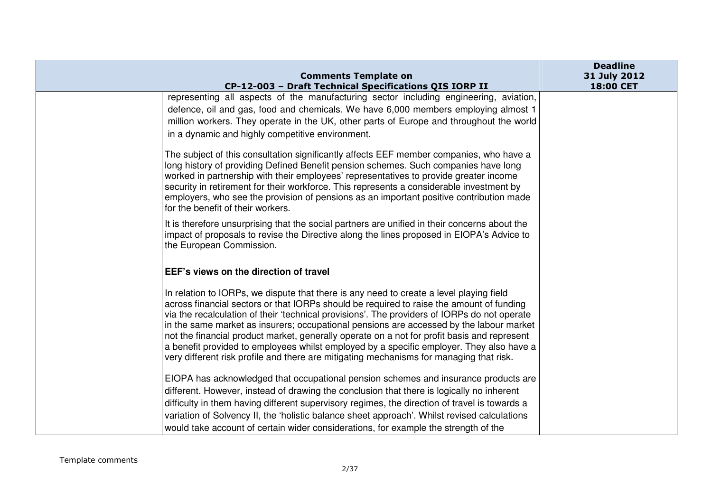| <b>Comments Template on</b>                                                                                                                                                                                                                                                                                                                                                                                                                                                                                                                                                                                                                                          | <b>Deadline</b><br>31 July 2012 |
|----------------------------------------------------------------------------------------------------------------------------------------------------------------------------------------------------------------------------------------------------------------------------------------------------------------------------------------------------------------------------------------------------------------------------------------------------------------------------------------------------------------------------------------------------------------------------------------------------------------------------------------------------------------------|---------------------------------|
| CP-12-003 - Draft Technical Specifications QIS IORP II                                                                                                                                                                                                                                                                                                                                                                                                                                                                                                                                                                                                               | 18:00 CET                       |
| representing all aspects of the manufacturing sector including engineering, aviation,<br>defence, oil and gas, food and chemicals. We have 6,000 members employing almost 1<br>million workers. They operate in the UK, other parts of Europe and throughout the world<br>in a dynamic and highly competitive environment.                                                                                                                                                                                                                                                                                                                                           |                                 |
| The subject of this consultation significantly affects EEF member companies, who have a<br>long history of providing Defined Benefit pension schemes. Such companies have long<br>worked in partnership with their employees' representatives to provide greater income<br>security in retirement for their workforce. This represents a considerable investment by<br>employers, who see the provision of pensions as an important positive contribution made<br>for the benefit of their workers.                                                                                                                                                                  |                                 |
| It is therefore unsurprising that the social partners are unified in their concerns about the<br>impact of proposals to revise the Directive along the lines proposed in EIOPA's Advice to<br>the European Commission.                                                                                                                                                                                                                                                                                                                                                                                                                                               |                                 |
| EEF's views on the direction of travel                                                                                                                                                                                                                                                                                                                                                                                                                                                                                                                                                                                                                               |                                 |
| In relation to IORPs, we dispute that there is any need to create a level playing field<br>across financial sectors or that IORPs should be required to raise the amount of funding<br>via the recalculation of their 'technical provisions'. The providers of IORPs do not operate<br>in the same market as insurers; occupational pensions are accessed by the labour market<br>not the financial product market, generally operate on a not for profit basis and represent<br>a benefit provided to employees whilst employed by a specific employer. They also have a<br>very different risk profile and there are mitigating mechanisms for managing that risk. |                                 |
| EIOPA has acknowledged that occupational pension schemes and insurance products are<br>different. However, instead of drawing the conclusion that there is logically no inherent<br>difficulty in them having different supervisory regimes, the direction of travel is towards a<br>variation of Solvency II, the 'holistic balance sheet approach'. Whilst revised calculations<br>would take account of certain wider considerations, for example the strength of the                                                                                                                                                                                             |                                 |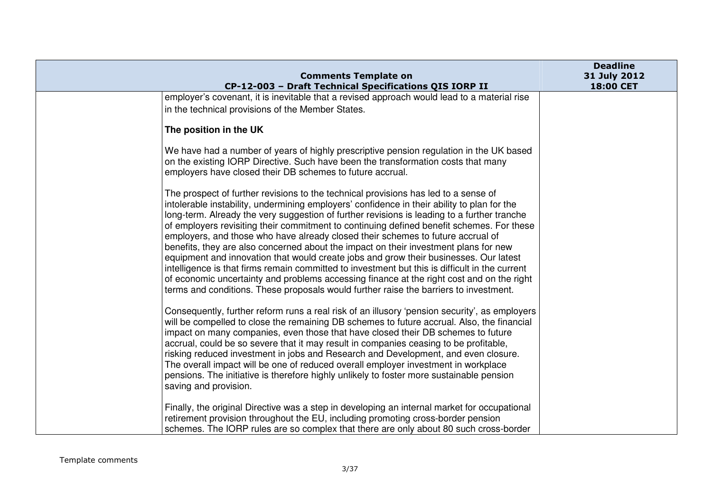|                                                                                                                                                                                                                                                                                                                                                                                                                                                                                                                                                                                                                                                                                                                                                                                                                                                                                                                                            | <b>Deadline</b>           |
|--------------------------------------------------------------------------------------------------------------------------------------------------------------------------------------------------------------------------------------------------------------------------------------------------------------------------------------------------------------------------------------------------------------------------------------------------------------------------------------------------------------------------------------------------------------------------------------------------------------------------------------------------------------------------------------------------------------------------------------------------------------------------------------------------------------------------------------------------------------------------------------------------------------------------------------------|---------------------------|
| <b>Comments Template on</b><br>CP-12-003 - Draft Technical Specifications QIS IORP II                                                                                                                                                                                                                                                                                                                                                                                                                                                                                                                                                                                                                                                                                                                                                                                                                                                      | 31 July 2012<br>18:00 CET |
| employer's covenant, it is inevitable that a revised approach would lead to a material rise<br>in the technical provisions of the Member States.                                                                                                                                                                                                                                                                                                                                                                                                                                                                                                                                                                                                                                                                                                                                                                                           |                           |
| The position in the UK                                                                                                                                                                                                                                                                                                                                                                                                                                                                                                                                                                                                                                                                                                                                                                                                                                                                                                                     |                           |
| We have had a number of years of highly prescriptive pension regulation in the UK based<br>on the existing IORP Directive. Such have been the transformation costs that many<br>employers have closed their DB schemes to future accrual.                                                                                                                                                                                                                                                                                                                                                                                                                                                                                                                                                                                                                                                                                                  |                           |
| The prospect of further revisions to the technical provisions has led to a sense of<br>intolerable instability, undermining employers' confidence in their ability to plan for the<br>long-term. Already the very suggestion of further revisions is leading to a further tranche<br>of employers revisiting their commitment to continuing defined benefit schemes. For these<br>employers, and those who have already closed their schemes to future accrual of<br>benefits, they are also concerned about the impact on their investment plans for new<br>equipment and innovation that would create jobs and grow their businesses. Our latest<br>intelligence is that firms remain committed to investment but this is difficult in the current<br>of economic uncertainty and problems accessing finance at the right cost and on the right<br>terms and conditions. These proposals would further raise the barriers to investment. |                           |
| Consequently, further reform runs a real risk of an illusory 'pension security', as employers<br>will be compelled to close the remaining DB schemes to future accrual. Also, the financial<br>impact on many companies, even those that have closed their DB schemes to future<br>accrual, could be so severe that it may result in companies ceasing to be profitable,<br>risking reduced investment in jobs and Research and Development, and even closure.<br>The overall impact will be one of reduced overall employer investment in workplace<br>pensions. The initiative is therefore highly unlikely to foster more sustainable pension<br>saving and provision.                                                                                                                                                                                                                                                                  |                           |
| Finally, the original Directive was a step in developing an internal market for occupational<br>retirement provision throughout the EU, including promoting cross-border pension<br>schemes. The IORP rules are so complex that there are only about 80 such cross-border                                                                                                                                                                                                                                                                                                                                                                                                                                                                                                                                                                                                                                                                  |                           |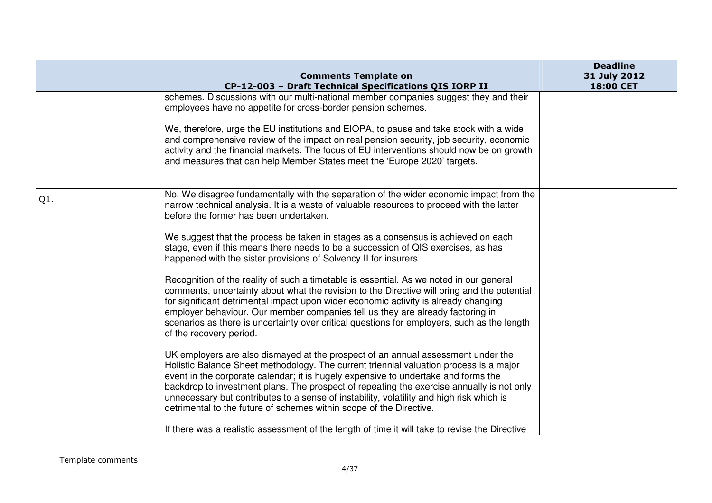|     | <b>Comments Template on</b>                                                                                                                                                                                                                                                                                                                                                                                                                                                                                                                                                                                                                                                                                                                                                                                                                                                                                                                                                                                                                                                                                                                                                                                                                                                                                                                                                                                                                                                                                   | <b>Deadline</b><br>31 July 2012 |
|-----|---------------------------------------------------------------------------------------------------------------------------------------------------------------------------------------------------------------------------------------------------------------------------------------------------------------------------------------------------------------------------------------------------------------------------------------------------------------------------------------------------------------------------------------------------------------------------------------------------------------------------------------------------------------------------------------------------------------------------------------------------------------------------------------------------------------------------------------------------------------------------------------------------------------------------------------------------------------------------------------------------------------------------------------------------------------------------------------------------------------------------------------------------------------------------------------------------------------------------------------------------------------------------------------------------------------------------------------------------------------------------------------------------------------------------------------------------------------------------------------------------------------|---------------------------------|
|     | CP-12-003 - Draft Technical Specifications QIS IORP II                                                                                                                                                                                                                                                                                                                                                                                                                                                                                                                                                                                                                                                                                                                                                                                                                                                                                                                                                                                                                                                                                                                                                                                                                                                                                                                                                                                                                                                        | 18:00 CET                       |
|     | schemes. Discussions with our multi-national member companies suggest they and their<br>employees have no appetite for cross-border pension schemes.<br>We, therefore, urge the EU institutions and EIOPA, to pause and take stock with a wide<br>and comprehensive review of the impact on real pension security, job security, economic<br>activity and the financial markets. The focus of EU interventions should now be on growth<br>and measures that can help Member States meet the 'Europe 2020' targets.                                                                                                                                                                                                                                                                                                                                                                                                                                                                                                                                                                                                                                                                                                                                                                                                                                                                                                                                                                                            |                                 |
| Q1. | No. We disagree fundamentally with the separation of the wider economic impact from the<br>narrow technical analysis. It is a waste of valuable resources to proceed with the latter<br>before the former has been undertaken.<br>We suggest that the process be taken in stages as a consensus is achieved on each<br>stage, even if this means there needs to be a succession of QIS exercises, as has<br>happened with the sister provisions of Solvency II for insurers.<br>Recognition of the reality of such a timetable is essential. As we noted in our general<br>comments, uncertainty about what the revision to the Directive will bring and the potential<br>for significant detrimental impact upon wider economic activity is already changing<br>employer behaviour. Our member companies tell us they are already factoring in<br>scenarios as there is uncertainty over critical questions for employers, such as the length<br>of the recovery period.<br>UK employers are also dismayed at the prospect of an annual assessment under the<br>Holistic Balance Sheet methodology. The current triennial valuation process is a major<br>event in the corporate calendar; it is hugely expensive to undertake and forms the<br>backdrop to investment plans. The prospect of repeating the exercise annually is not only<br>unnecessary but contributes to a sense of instability, volatility and high risk which is<br>detrimental to the future of schemes within scope of the Directive. |                                 |
|     | If there was a realistic assessment of the length of time it will take to revise the Directive                                                                                                                                                                                                                                                                                                                                                                                                                                                                                                                                                                                                                                                                                                                                                                                                                                                                                                                                                                                                                                                                                                                                                                                                                                                                                                                                                                                                                |                                 |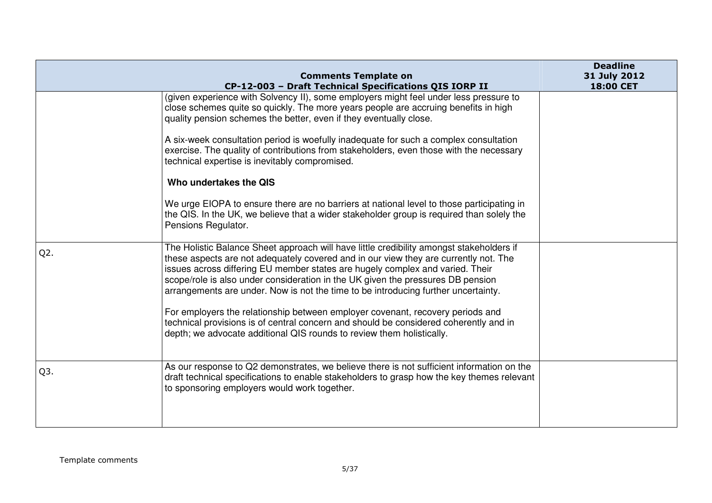|                  | <b>Comments Template on</b><br>CP-12-003 - Draft Technical Specifications QIS IORP II                                                                                                                                                                                                                                                                                                                                                      | <b>Deadline</b><br>31 July 2012<br>18:00 CET |
|------------------|--------------------------------------------------------------------------------------------------------------------------------------------------------------------------------------------------------------------------------------------------------------------------------------------------------------------------------------------------------------------------------------------------------------------------------------------|----------------------------------------------|
|                  | (given experience with Solvency II), some employers might feel under less pressure to<br>close schemes quite so quickly. The more years people are accruing benefits in high<br>quality pension schemes the better, even if they eventually close.                                                                                                                                                                                         |                                              |
|                  | A six-week consultation period is woefully inadequate for such a complex consultation<br>exercise. The quality of contributions from stakeholders, even those with the necessary<br>technical expertise is inevitably compromised.                                                                                                                                                                                                         |                                              |
|                  | Who undertakes the QIS                                                                                                                                                                                                                                                                                                                                                                                                                     |                                              |
|                  | We urge EIOPA to ensure there are no barriers at national level to those participating in<br>the QIS. In the UK, we believe that a wider stakeholder group is required than solely the<br>Pensions Regulator.                                                                                                                                                                                                                              |                                              |
| $Q2$ .           | The Holistic Balance Sheet approach will have little credibility amongst stakeholders if<br>these aspects are not adequately covered and in our view they are currently not. The<br>issues across differing EU member states are hugely complex and varied. Their<br>scope/role is also under consideration in the UK given the pressures DB pension<br>arrangements are under. Now is not the time to be introducing further uncertainty. |                                              |
|                  | For employers the relationship between employer covenant, recovery periods and<br>technical provisions is of central concern and should be considered coherently and in<br>depth; we advocate additional QIS rounds to review them holistically.                                                                                                                                                                                           |                                              |
| Q <sub>3</sub> . | As our response to Q2 demonstrates, we believe there is not sufficient information on the<br>draft technical specifications to enable stakeholders to grasp how the key themes relevant<br>to sponsoring employers would work together.                                                                                                                                                                                                    |                                              |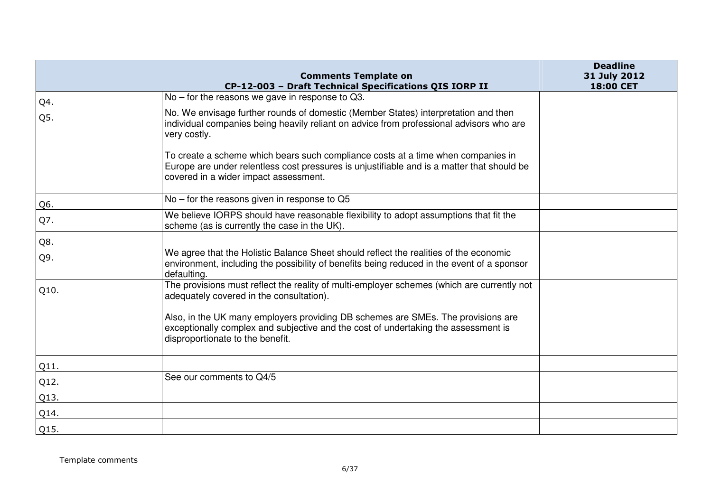|      | <b>Comments Template on</b>                                                                                                                                                                                             | <b>Deadline</b><br>31 July 2012 |
|------|-------------------------------------------------------------------------------------------------------------------------------------------------------------------------------------------------------------------------|---------------------------------|
|      | CP-12-003 - Draft Technical Specifications QIS IORP II                                                                                                                                                                  | 18:00 CET                       |
| Q4.  | No - for the reasons we gave in response to Q3.                                                                                                                                                                         |                                 |
| Q5.  | No. We envisage further rounds of domestic (Member States) interpretation and then<br>individual companies being heavily reliant on advice from professional advisors who are<br>very costly.                           |                                 |
|      | To create a scheme which bears such compliance costs at a time when companies in<br>Europe are under relentless cost pressures is unjustifiable and is a matter that should be<br>covered in a wider impact assessment. |                                 |
| Q6.  | $No$ – for the reasons given in response to Q5                                                                                                                                                                          |                                 |
| Q7.  | We believe IORPS should have reasonable flexibility to adopt assumptions that fit the<br>scheme (as is currently the case in the UK).                                                                                   |                                 |
| Q8.  |                                                                                                                                                                                                                         |                                 |
| Q9.  | We agree that the Holistic Balance Sheet should reflect the realities of the economic<br>environment, including the possibility of benefits being reduced in the event of a sponsor<br>defaulting.                      |                                 |
| Q10. | The provisions must reflect the reality of multi-employer schemes (which are currently not<br>adequately covered in the consultation).                                                                                  |                                 |
|      | Also, in the UK many employers providing DB schemes are SMEs. The provisions are<br>exceptionally complex and subjective and the cost of undertaking the assessment is<br>disproportionate to the benefit.              |                                 |
| Q11. |                                                                                                                                                                                                                         |                                 |
| Q12. | See our comments to Q4/5                                                                                                                                                                                                |                                 |
| Q13. |                                                                                                                                                                                                                         |                                 |
| Q14. |                                                                                                                                                                                                                         |                                 |
| Q15. |                                                                                                                                                                                                                         |                                 |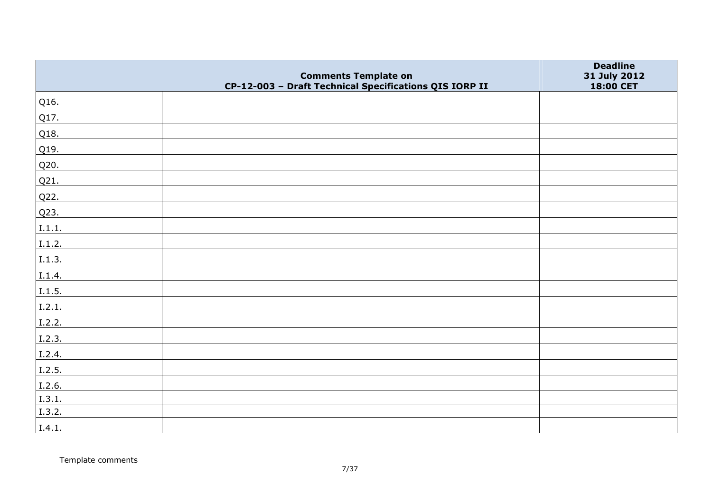|        |                                                                                       | <b>Deadline</b>           |
|--------|---------------------------------------------------------------------------------------|---------------------------|
|        | <b>Comments Template on</b><br>CP-12-003 - Draft Technical Specifications QIS IORP II | 31 July 2012<br>18:00 CET |
| Q16.   |                                                                                       |                           |
| Q17.   |                                                                                       |                           |
| Q18.   |                                                                                       |                           |
| Q19.   |                                                                                       |                           |
| Q20.   |                                                                                       |                           |
| Q21.   |                                                                                       |                           |
| Q22.   |                                                                                       |                           |
| Q23.   |                                                                                       |                           |
| 1.1.1. |                                                                                       |                           |
| I.1.2. |                                                                                       |                           |
| 1.1.3. |                                                                                       |                           |
| I.1.4. |                                                                                       |                           |
| I.1.5. |                                                                                       |                           |
| I.2.1. |                                                                                       |                           |
| I.2.2. |                                                                                       |                           |
| I.2.3. |                                                                                       |                           |
| I.2.4. |                                                                                       |                           |
| 1.2.5. |                                                                                       |                           |
| I.2.6. |                                                                                       |                           |
| I.3.1. |                                                                                       |                           |
| I.3.2. |                                                                                       |                           |
| I.4.1. |                                                                                       |                           |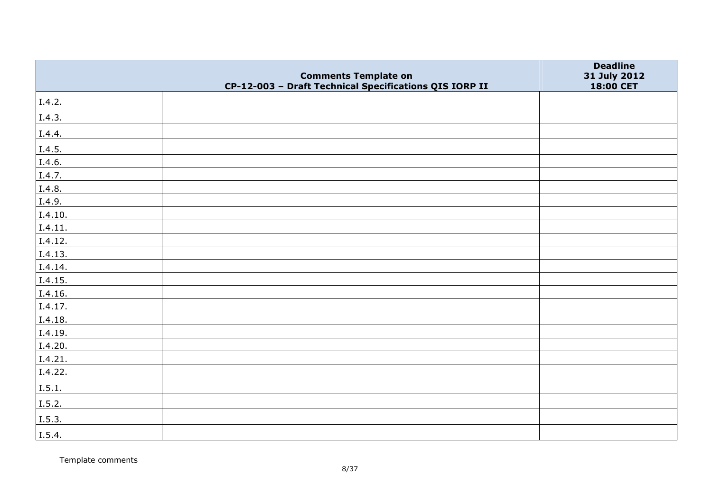|         | <b>Comments Template on</b>                            | <b>Deadline</b><br>31 July 2012 |
|---------|--------------------------------------------------------|---------------------------------|
|         | CP-12-003 - Draft Technical Specifications QIS IORP II | 18:00 CET                       |
| I.4.2.  |                                                        |                                 |
| I.4.3.  |                                                        |                                 |
| I.4.4.  |                                                        |                                 |
| I.4.5.  |                                                        |                                 |
| I.4.6.  |                                                        |                                 |
| I.4.7.  |                                                        |                                 |
| I.4.8.  |                                                        |                                 |
| I.4.9.  |                                                        |                                 |
| I.4.10. |                                                        |                                 |
| I.4.11. |                                                        |                                 |
| I.4.12. |                                                        |                                 |
| I.4.13. |                                                        |                                 |
| I.4.14. |                                                        |                                 |
| I.4.15. |                                                        |                                 |
| 1.4.16. |                                                        |                                 |
| I.4.17. |                                                        |                                 |
| I.4.18. |                                                        |                                 |
| I.4.19. |                                                        |                                 |
| I.4.20. |                                                        |                                 |
| I.4.21. |                                                        |                                 |
| I.4.22. |                                                        |                                 |
| I.5.1.  |                                                        |                                 |
| I.5.2.  |                                                        |                                 |
| I.5.3.  |                                                        |                                 |
| I.5.4.  |                                                        |                                 |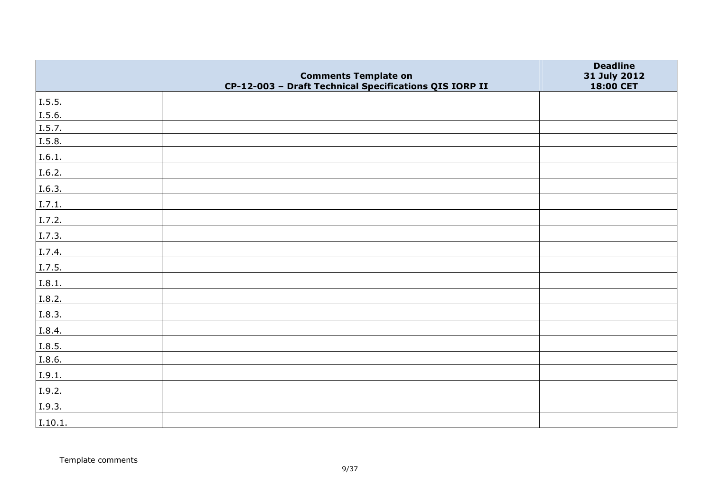|         | <b>Comments Template on</b>                            | <b>Deadline</b><br>31 July 2012 |
|---------|--------------------------------------------------------|---------------------------------|
|         | CP-12-003 - Draft Technical Specifications QIS IORP II | 18:00 CET                       |
| I.5.5.  |                                                        |                                 |
| I.5.6.  |                                                        |                                 |
| I.5.7.  |                                                        |                                 |
| I.5.8.  |                                                        |                                 |
| I.6.1.  |                                                        |                                 |
| I.6.2.  |                                                        |                                 |
| I.6.3.  |                                                        |                                 |
| I.7.1.  |                                                        |                                 |
| I.7.2.  |                                                        |                                 |
| I.7.3.  |                                                        |                                 |
| I.7.4.  |                                                        |                                 |
| I.7.5.  |                                                        |                                 |
| I.8.1.  |                                                        |                                 |
| I.8.2.  |                                                        |                                 |
| I.8.3.  |                                                        |                                 |
| I.8.4.  |                                                        |                                 |
| I.8.5.  |                                                        |                                 |
| I.8.6.  |                                                        |                                 |
| I.9.1.  |                                                        |                                 |
| I.9.2.  |                                                        |                                 |
| I.9.3.  |                                                        |                                 |
| I.10.1. |                                                        |                                 |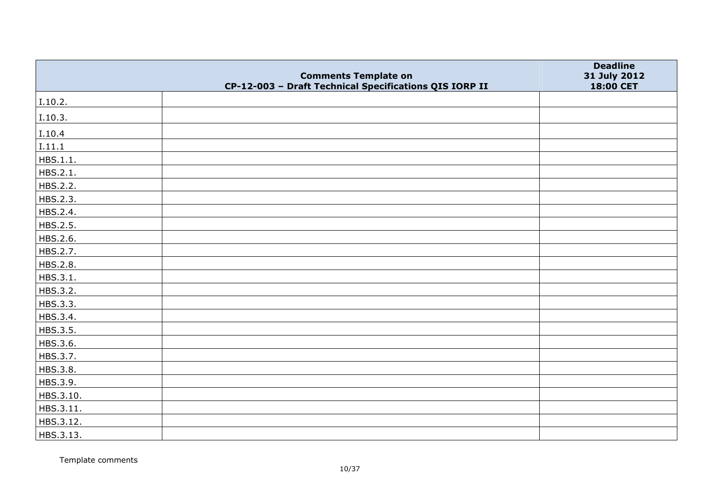|           | <b>Comments Template on</b>                            | <b>Deadline</b><br>31 July 2012 |
|-----------|--------------------------------------------------------|---------------------------------|
|           | CP-12-003 - Draft Technical Specifications QIS IORP II | 18:00 CET                       |
| I.10.2.   |                                                        |                                 |
| I.10.3.   |                                                        |                                 |
| I.10.4    |                                                        |                                 |
| I.11.1    |                                                        |                                 |
| HBS.1.1.  |                                                        |                                 |
| HBS.2.1.  |                                                        |                                 |
| HBS.2.2.  |                                                        |                                 |
| HBS.2.3.  |                                                        |                                 |
| HBS.2.4.  |                                                        |                                 |
| HBS.2.5.  |                                                        |                                 |
| HBS.2.6.  |                                                        |                                 |
| HBS.2.7.  |                                                        |                                 |
| HBS.2.8.  |                                                        |                                 |
| HBS.3.1.  |                                                        |                                 |
| HBS.3.2.  |                                                        |                                 |
| HBS.3.3.  |                                                        |                                 |
| HBS.3.4.  |                                                        |                                 |
| HBS.3.5.  |                                                        |                                 |
| HBS.3.6.  |                                                        |                                 |
| HBS.3.7.  |                                                        |                                 |
| HBS.3.8.  |                                                        |                                 |
| HBS.3.9.  |                                                        |                                 |
| HBS.3.10. |                                                        |                                 |
| HBS.3.11. |                                                        |                                 |
| HBS.3.12. |                                                        |                                 |
| HBS.3.13. |                                                        |                                 |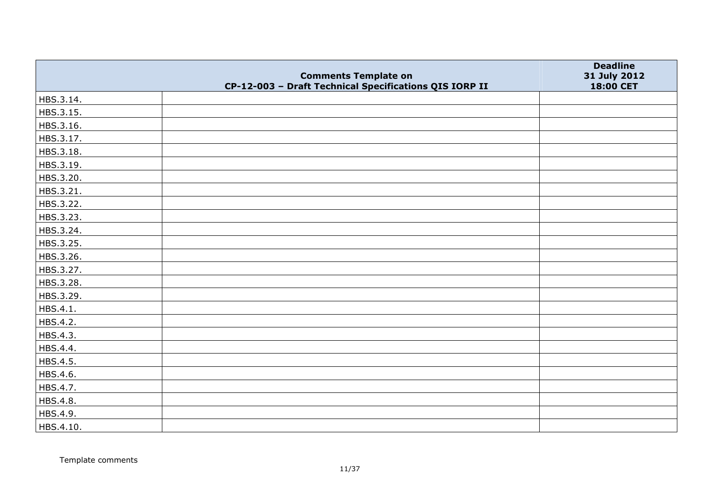|           | <b>Comments Template on</b>                            | <b>Deadline</b><br>31 July 2012 |
|-----------|--------------------------------------------------------|---------------------------------|
|           | CP-12-003 - Draft Technical Specifications QIS IORP II | 18:00 CET                       |
| HBS.3.14. |                                                        |                                 |
| HBS.3.15. |                                                        |                                 |
| HBS.3.16. |                                                        |                                 |
| HBS.3.17. |                                                        |                                 |
| HBS.3.18. |                                                        |                                 |
| HBS.3.19. |                                                        |                                 |
| HBS.3.20. |                                                        |                                 |
| HBS.3.21. |                                                        |                                 |
| HBS.3.22. |                                                        |                                 |
| HBS.3.23. |                                                        |                                 |
| HBS.3.24. |                                                        |                                 |
| HBS.3.25. |                                                        |                                 |
| HBS.3.26. |                                                        |                                 |
| HBS.3.27. |                                                        |                                 |
| HBS.3.28. |                                                        |                                 |
| HBS.3.29. |                                                        |                                 |
| HBS.4.1.  |                                                        |                                 |
| HBS.4.2.  |                                                        |                                 |
| HBS.4.3.  |                                                        |                                 |
| HBS.4.4.  |                                                        |                                 |
| HBS.4.5.  |                                                        |                                 |
| HBS.4.6.  |                                                        |                                 |
| HBS.4.7.  |                                                        |                                 |
| HBS.4.8.  |                                                        |                                 |
| HBS.4.9.  |                                                        |                                 |
| HBS.4.10. |                                                        |                                 |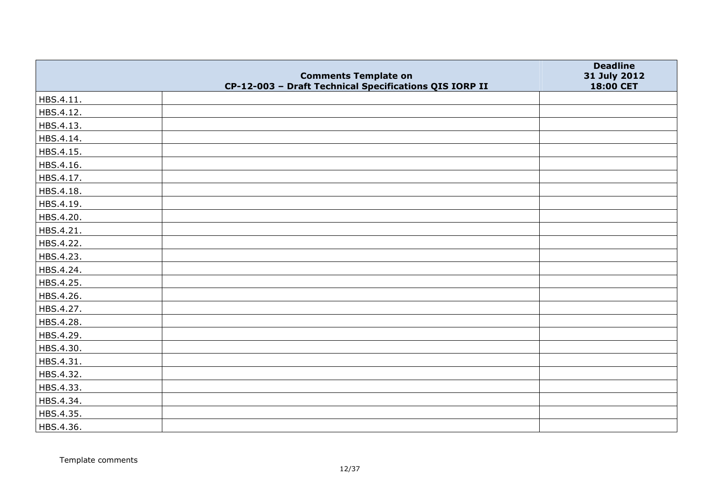|           | <b>Comments Template on</b>                            | <b>Deadline</b><br>31 July 2012 |
|-----------|--------------------------------------------------------|---------------------------------|
|           | CP-12-003 - Draft Technical Specifications QIS IORP II | 18:00 CET                       |
| HBS.4.11. |                                                        |                                 |
| HBS.4.12. |                                                        |                                 |
| HBS.4.13. |                                                        |                                 |
| HBS.4.14. |                                                        |                                 |
| HBS.4.15. |                                                        |                                 |
| HBS.4.16. |                                                        |                                 |
| HBS.4.17. |                                                        |                                 |
| HBS.4.18. |                                                        |                                 |
| HBS.4.19. |                                                        |                                 |
| HBS.4.20. |                                                        |                                 |
| HBS.4.21. |                                                        |                                 |
| HBS.4.22. |                                                        |                                 |
| HBS.4.23. |                                                        |                                 |
| HBS.4.24. |                                                        |                                 |
| HBS.4.25. |                                                        |                                 |
| HBS.4.26. |                                                        |                                 |
| HBS.4.27. |                                                        |                                 |
| HBS.4.28. |                                                        |                                 |
| HBS.4.29. |                                                        |                                 |
| HBS.4.30. |                                                        |                                 |
| HBS.4.31. |                                                        |                                 |
| HBS.4.32. |                                                        |                                 |
| HBS.4.33. |                                                        |                                 |
| HBS.4.34. |                                                        |                                 |
| HBS.4.35. |                                                        |                                 |
| HBS.4.36. |                                                        |                                 |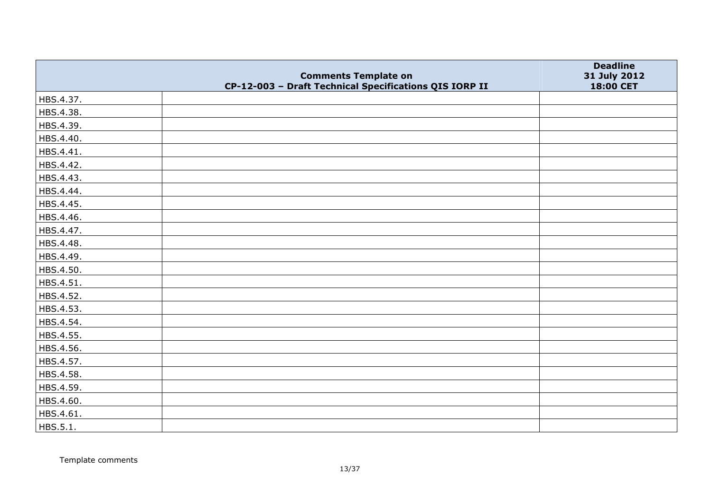|           | <b>Comments Template on</b>                            | <b>Deadline</b><br>31 July 2012 |
|-----------|--------------------------------------------------------|---------------------------------|
|           | CP-12-003 - Draft Technical Specifications QIS IORP II | 18:00 CET                       |
| HBS.4.37. |                                                        |                                 |
| HBS.4.38. |                                                        |                                 |
| HBS.4.39. |                                                        |                                 |
| HBS.4.40. |                                                        |                                 |
| HBS.4.41. |                                                        |                                 |
| HBS.4.42. |                                                        |                                 |
| HBS.4.43. |                                                        |                                 |
| HBS.4.44. |                                                        |                                 |
| HBS.4.45. |                                                        |                                 |
| HBS.4.46. |                                                        |                                 |
| HBS.4.47. |                                                        |                                 |
| HBS.4.48. |                                                        |                                 |
| HBS.4.49. |                                                        |                                 |
| HBS.4.50. |                                                        |                                 |
| HBS.4.51. |                                                        |                                 |
| HBS.4.52. |                                                        |                                 |
| HBS.4.53. |                                                        |                                 |
| HBS.4.54. |                                                        |                                 |
| HBS.4.55. |                                                        |                                 |
| HBS.4.56. |                                                        |                                 |
| HBS.4.57. |                                                        |                                 |
| HBS.4.58. |                                                        |                                 |
| HBS.4.59. |                                                        |                                 |
| HBS.4.60. |                                                        |                                 |
| HBS.4.61. |                                                        |                                 |
| HBS.5.1.  |                                                        |                                 |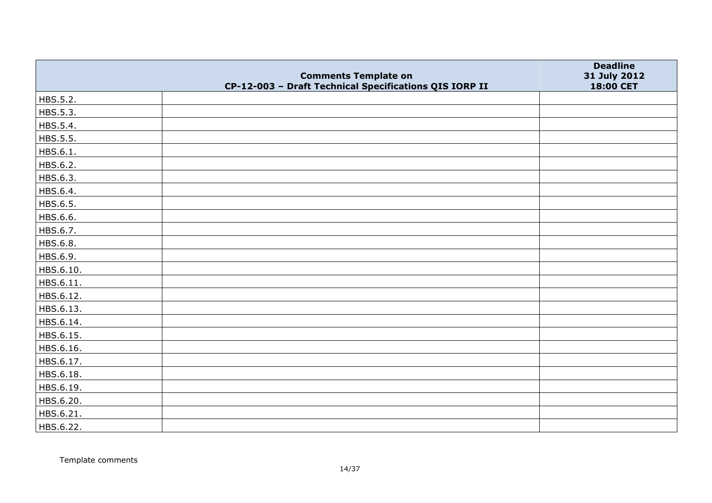|           |                                                                                       | <b>Deadline</b>           |
|-----------|---------------------------------------------------------------------------------------|---------------------------|
|           | <b>Comments Template on</b><br>CP-12-003 - Draft Technical Specifications QIS IORP II | 31 July 2012<br>18:00 CET |
| HBS.5.2.  |                                                                                       |                           |
| HBS.5.3.  |                                                                                       |                           |
| HBS.5.4.  |                                                                                       |                           |
| HBS.5.5.  |                                                                                       |                           |
| HBS.6.1.  |                                                                                       |                           |
| HBS.6.2.  |                                                                                       |                           |
| HBS.6.3.  |                                                                                       |                           |
| HBS.6.4.  |                                                                                       |                           |
| HBS.6.5.  |                                                                                       |                           |
| HBS.6.6.  |                                                                                       |                           |
| HBS.6.7.  |                                                                                       |                           |
| HBS.6.8.  |                                                                                       |                           |
| HBS.6.9.  |                                                                                       |                           |
| HBS.6.10. |                                                                                       |                           |
| HBS.6.11. |                                                                                       |                           |
| HBS.6.12. |                                                                                       |                           |
| HBS.6.13. |                                                                                       |                           |
| HBS.6.14. |                                                                                       |                           |
| HBS.6.15. |                                                                                       |                           |
| HBS.6.16. |                                                                                       |                           |
| HBS.6.17. |                                                                                       |                           |
| HBS.6.18. |                                                                                       |                           |
| HBS.6.19. |                                                                                       |                           |
| HBS.6.20. |                                                                                       |                           |
| HBS.6.21. |                                                                                       |                           |
| HBS.6.22. |                                                                                       |                           |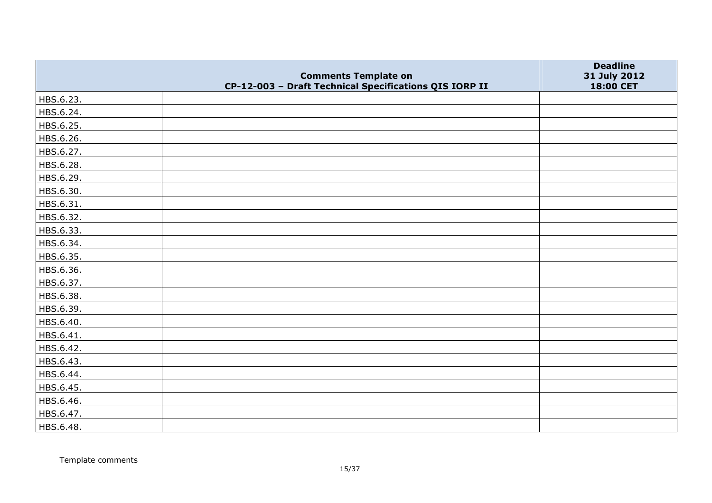|           | <b>Comments Template on</b>                            | <b>Deadline</b><br>31 July 2012 |
|-----------|--------------------------------------------------------|---------------------------------|
|           | CP-12-003 - Draft Technical Specifications QIS IORP II | 18:00 CET                       |
| HBS.6.23. |                                                        |                                 |
| HBS.6.24. |                                                        |                                 |
| HBS.6.25. |                                                        |                                 |
| HBS.6.26. |                                                        |                                 |
| HBS.6.27. |                                                        |                                 |
| HBS.6.28. |                                                        |                                 |
| HBS.6.29. |                                                        |                                 |
| HBS.6.30. |                                                        |                                 |
| HBS.6.31. |                                                        |                                 |
| HBS.6.32. |                                                        |                                 |
| HBS.6.33. |                                                        |                                 |
| HBS.6.34. |                                                        |                                 |
| HBS.6.35. |                                                        |                                 |
| HBS.6.36. |                                                        |                                 |
| HBS.6.37. |                                                        |                                 |
| HBS.6.38. |                                                        |                                 |
| HBS.6.39. |                                                        |                                 |
| HBS.6.40. |                                                        |                                 |
| HBS.6.41. |                                                        |                                 |
| HBS.6.42. |                                                        |                                 |
| HBS.6.43. |                                                        |                                 |
| HBS.6.44. |                                                        |                                 |
| HBS.6.45. |                                                        |                                 |
| HBS.6.46. |                                                        |                                 |
| HBS.6.47. |                                                        |                                 |
| HBS.6.48. |                                                        |                                 |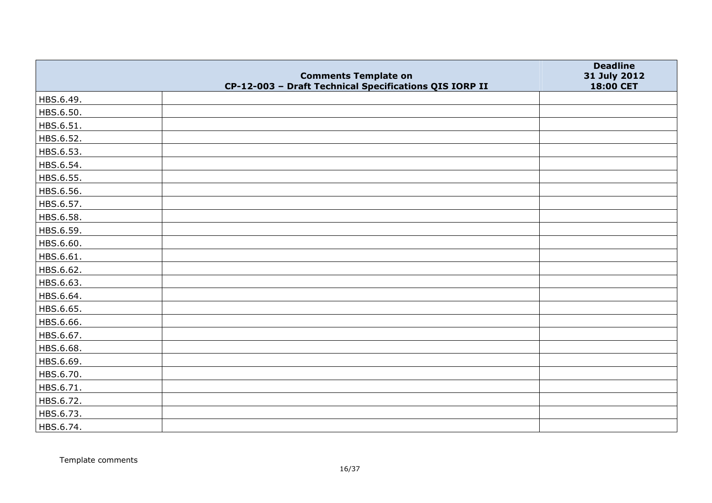|           | <b>Comments Template on</b>                            | <b>Deadline</b><br>31 July 2012 |
|-----------|--------------------------------------------------------|---------------------------------|
|           | CP-12-003 - Draft Technical Specifications QIS IORP II | 18:00 CET                       |
| HBS.6.49. |                                                        |                                 |
| HBS.6.50. |                                                        |                                 |
| HBS.6.51. |                                                        |                                 |
| HBS.6.52. |                                                        |                                 |
| HBS.6.53. |                                                        |                                 |
| HBS.6.54. |                                                        |                                 |
| HBS.6.55. |                                                        |                                 |
| HBS.6.56. |                                                        |                                 |
| HBS.6.57. |                                                        |                                 |
| HBS.6.58. |                                                        |                                 |
| HBS.6.59. |                                                        |                                 |
| HBS.6.60. |                                                        |                                 |
| HBS.6.61. |                                                        |                                 |
| HBS.6.62. |                                                        |                                 |
| HBS.6.63. |                                                        |                                 |
| HBS.6.64. |                                                        |                                 |
| HBS.6.65. |                                                        |                                 |
| HBS.6.66. |                                                        |                                 |
| HBS.6.67. |                                                        |                                 |
| HBS.6.68. |                                                        |                                 |
| HBS.6.69. |                                                        |                                 |
| HBS.6.70. |                                                        |                                 |
| HBS.6.71. |                                                        |                                 |
| HBS.6.72. |                                                        |                                 |
| HBS.6.73. |                                                        |                                 |
| HBS.6.74. |                                                        |                                 |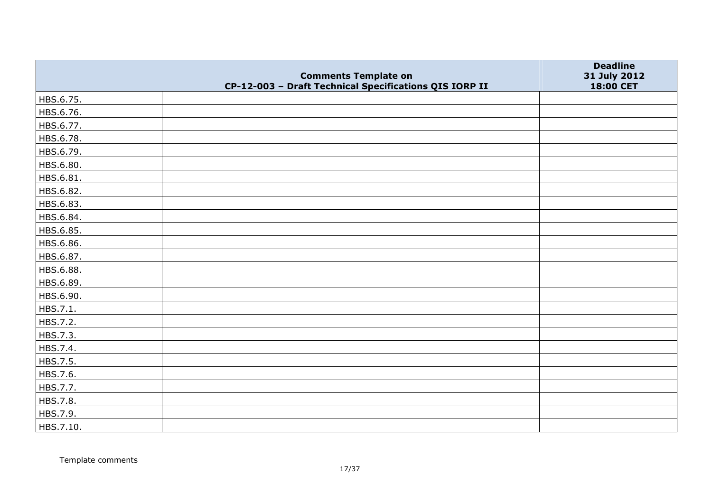|           | <b>Comments Template on</b>                            | <b>Deadline</b><br>31 July 2012 |
|-----------|--------------------------------------------------------|---------------------------------|
|           | CP-12-003 - Draft Technical Specifications QIS IORP II | 18:00 CET                       |
| HBS.6.75. |                                                        |                                 |
| HBS.6.76. |                                                        |                                 |
| HBS.6.77. |                                                        |                                 |
| HBS.6.78. |                                                        |                                 |
| HBS.6.79. |                                                        |                                 |
| HBS.6.80. |                                                        |                                 |
| HBS.6.81. |                                                        |                                 |
| HBS.6.82. |                                                        |                                 |
| HBS.6.83. |                                                        |                                 |
| HBS.6.84. |                                                        |                                 |
| HBS.6.85. |                                                        |                                 |
| HBS.6.86. |                                                        |                                 |
| HBS.6.87. |                                                        |                                 |
| HBS.6.88. |                                                        |                                 |
| HBS.6.89. |                                                        |                                 |
| HBS.6.90. |                                                        |                                 |
| HBS.7.1.  |                                                        |                                 |
| HBS.7.2.  |                                                        |                                 |
| HBS.7.3.  |                                                        |                                 |
| HBS.7.4.  |                                                        |                                 |
| HBS.7.5.  |                                                        |                                 |
| HBS.7.6.  |                                                        |                                 |
| HBS.7.7.  |                                                        |                                 |
| HBS.7.8.  |                                                        |                                 |
| HBS.7.9.  |                                                        |                                 |
| HBS.7.10. |                                                        |                                 |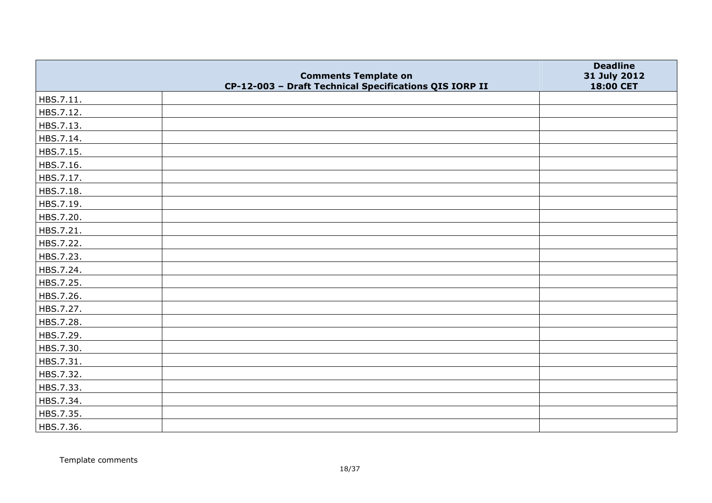|           | <b>Comments Template on</b>                            | <b>Deadline</b><br>31 July 2012 |
|-----------|--------------------------------------------------------|---------------------------------|
|           | CP-12-003 - Draft Technical Specifications QIS IORP II | 18:00 CET                       |
| HBS.7.11. |                                                        |                                 |
| HBS.7.12. |                                                        |                                 |
| HBS.7.13. |                                                        |                                 |
| HBS.7.14. |                                                        |                                 |
| HBS.7.15. |                                                        |                                 |
| HBS.7.16. |                                                        |                                 |
| HBS.7.17. |                                                        |                                 |
| HBS.7.18. |                                                        |                                 |
| HBS.7.19. |                                                        |                                 |
| HBS.7.20. |                                                        |                                 |
| HBS.7.21. |                                                        |                                 |
| HBS.7.22. |                                                        |                                 |
| HBS.7.23. |                                                        |                                 |
| HBS.7.24. |                                                        |                                 |
| HBS.7.25. |                                                        |                                 |
| HBS.7.26. |                                                        |                                 |
| HBS.7.27. |                                                        |                                 |
| HBS.7.28. |                                                        |                                 |
| HBS.7.29. |                                                        |                                 |
| HBS.7.30. |                                                        |                                 |
| HBS.7.31. |                                                        |                                 |
| HBS.7.32. |                                                        |                                 |
| HBS.7.33. |                                                        |                                 |
| HBS.7.34. |                                                        |                                 |
| HBS.7.35. |                                                        |                                 |
| HBS.7.36. |                                                        |                                 |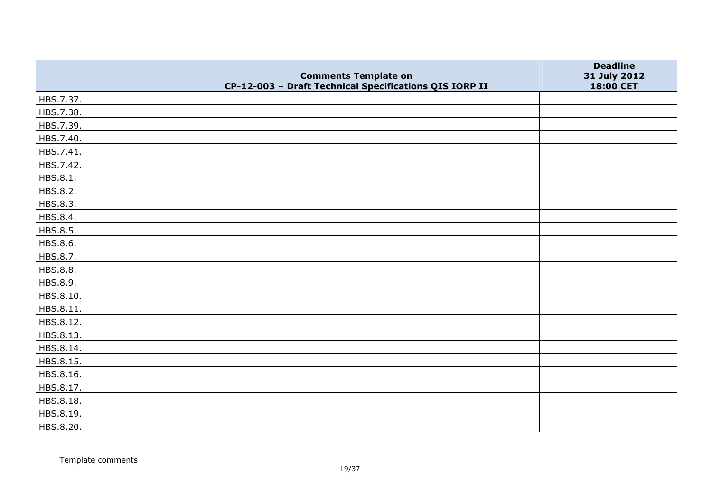|                 | <b>Comments Template on</b>                            | <b>Deadline</b><br>31 July 2012 |
|-----------------|--------------------------------------------------------|---------------------------------|
|                 | CP-12-003 - Draft Technical Specifications QIS IORP II | 18:00 CET                       |
| HBS.7.37.       |                                                        |                                 |
| HBS.7.38.       |                                                        |                                 |
| HBS.7.39.       |                                                        |                                 |
| HBS.7.40.       |                                                        |                                 |
| HBS.7.41.       |                                                        |                                 |
| HBS.7.42.       |                                                        |                                 |
| HBS.8.1.        |                                                        |                                 |
| HBS.8.2.        |                                                        |                                 |
| HBS.8.3.        |                                                        |                                 |
| HBS.8.4.        |                                                        |                                 |
| HBS.8.5.        |                                                        |                                 |
| HBS.8.6.        |                                                        |                                 |
| HBS.8.7.        |                                                        |                                 |
| <b>HBS.8.8.</b> |                                                        |                                 |
| HBS.8.9.        |                                                        |                                 |
| HBS.8.10.       |                                                        |                                 |
| HBS.8.11.       |                                                        |                                 |
| HBS.8.12.       |                                                        |                                 |
| HBS.8.13.       |                                                        |                                 |
| HBS.8.14.       |                                                        |                                 |
| HBS.8.15.       |                                                        |                                 |
| HBS.8.16.       |                                                        |                                 |
| HBS.8.17.       |                                                        |                                 |
| HBS.8.18.       |                                                        |                                 |
| HBS.8.19.       |                                                        |                                 |
| HBS.8.20.       |                                                        |                                 |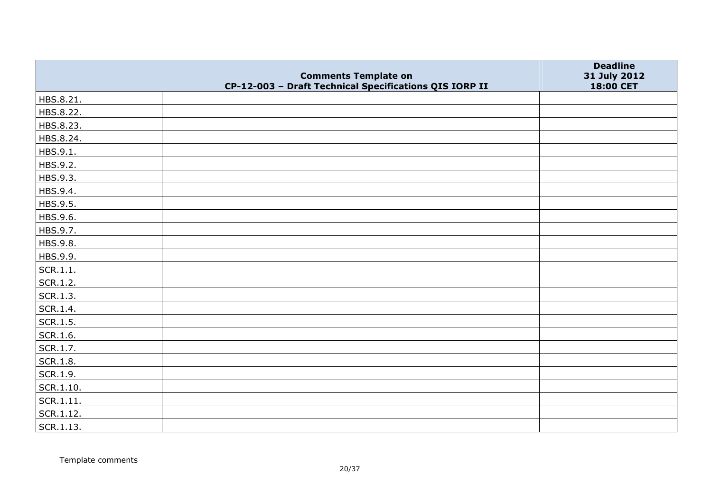|                   | <b>Comments Template on</b>                            | <b>Deadline</b><br>31 July 2012 |
|-------------------|--------------------------------------------------------|---------------------------------|
|                   | CP-12-003 - Draft Technical Specifications QIS IORP II | 18:00 CET                       |
| HBS.8.21.         |                                                        |                                 |
| HBS.8.22.         |                                                        |                                 |
| HBS.8.23.         |                                                        |                                 |
| HBS.8.24.         |                                                        |                                 |
| HBS.9.1.          |                                                        |                                 |
| HBS.9.2.          |                                                        |                                 |
| HBS.9.3.          |                                                        |                                 |
| HBS.9.4.          |                                                        |                                 |
| HBS.9.5.          |                                                        |                                 |
| HBS.9.6.          |                                                        |                                 |
| HBS.9.7.          |                                                        |                                 |
| HBS.9.8.          |                                                        |                                 |
| HBS.9.9.          |                                                        |                                 |
| SCR.1.1.          |                                                        |                                 |
| SCR.1.2.          |                                                        |                                 |
| SCR.1.3.          |                                                        |                                 |
| SCR.1.4.          |                                                        |                                 |
| $\vert$ SCR.1.5.  |                                                        |                                 |
| SCR.1.6.          |                                                        |                                 |
| SCR.1.7.          |                                                        |                                 |
| SCR.1.8.          |                                                        |                                 |
| SCR.1.9.          |                                                        |                                 |
| $\vert$ SCR.1.10. |                                                        |                                 |
| SCR.1.11.         |                                                        |                                 |
| $ $ SCR.1.12.     |                                                        |                                 |
| SCR.1.13.         |                                                        |                                 |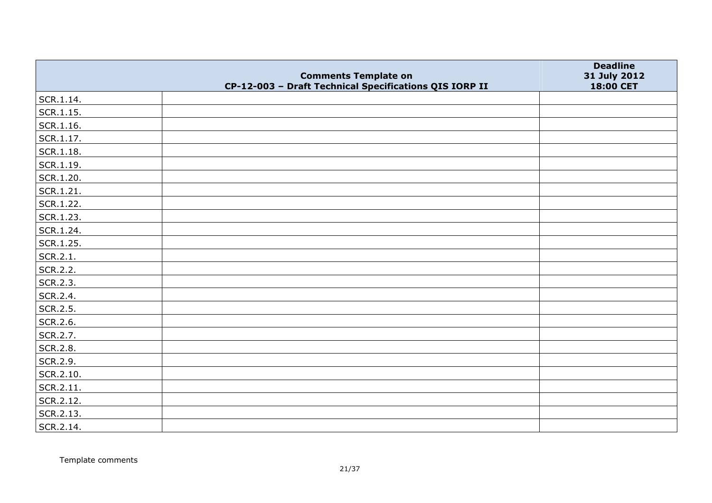|                   |                                                                                       | <b>Deadline</b>           |
|-------------------|---------------------------------------------------------------------------------------|---------------------------|
|                   | <b>Comments Template on</b><br>CP-12-003 - Draft Technical Specifications QIS IORP II | 31 July 2012<br>18:00 CET |
| SCR.1.14.         |                                                                                       |                           |
| SCR.1.15.         |                                                                                       |                           |
| $\vert$ SCR.1.16. |                                                                                       |                           |
| SCR.1.17.         |                                                                                       |                           |
| $ $ SCR.1.18.     |                                                                                       |                           |
| $ $ SCR.1.19.     |                                                                                       |                           |
| SCR.1.20.         |                                                                                       |                           |
| $ $ SCR.1.21.     |                                                                                       |                           |
| SCR.1.22.         |                                                                                       |                           |
| SCR.1.23.         |                                                                                       |                           |
| SCR.1.24.         |                                                                                       |                           |
| SCR.1.25.         |                                                                                       |                           |
| SCR.2.1.          |                                                                                       |                           |
| SCR.2.2.          |                                                                                       |                           |
| SCR.2.3.          |                                                                                       |                           |
| SCR.2.4.          |                                                                                       |                           |
| SCR.2.5.          |                                                                                       |                           |
| SCR.2.6.          |                                                                                       |                           |
| SCR.2.7.          |                                                                                       |                           |
| SCR.2.8.          |                                                                                       |                           |
| SCR.2.9.          |                                                                                       |                           |
| SCR.2.10.         |                                                                                       |                           |
| SCR.2.11.         |                                                                                       |                           |
| SCR.2.12.         |                                                                                       |                           |
| SCR.2.13.         |                                                                                       |                           |
| SCR.2.14.         |                                                                                       |                           |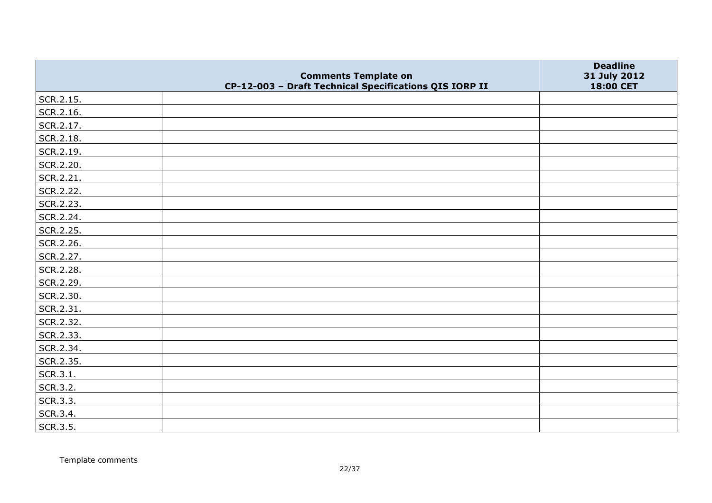|           | <b>Comments Template on</b>                            | <b>Deadline</b><br>31 July 2012 |
|-----------|--------------------------------------------------------|---------------------------------|
|           | CP-12-003 - Draft Technical Specifications QIS IORP II | 18:00 CET                       |
| SCR.2.15. |                                                        |                                 |
| SCR.2.16. |                                                        |                                 |
| SCR.2.17. |                                                        |                                 |
| SCR.2.18. |                                                        |                                 |
| SCR.2.19. |                                                        |                                 |
| SCR.2.20. |                                                        |                                 |
| SCR.2.21. |                                                        |                                 |
| SCR.2.22. |                                                        |                                 |
| SCR.2.23. |                                                        |                                 |
| SCR.2.24. |                                                        |                                 |
| SCR.2.25. |                                                        |                                 |
| SCR.2.26. |                                                        |                                 |
| SCR.2.27. |                                                        |                                 |
| SCR.2.28. |                                                        |                                 |
| SCR.2.29. |                                                        |                                 |
| SCR.2.30. |                                                        |                                 |
| SCR.2.31. |                                                        |                                 |
| SCR.2.32. |                                                        |                                 |
| SCR.2.33. |                                                        |                                 |
| SCR.2.34. |                                                        |                                 |
| SCR.2.35. |                                                        |                                 |
| SCR.3.1.  |                                                        |                                 |
| SCR.3.2.  |                                                        |                                 |
| SCR.3.3.  |                                                        |                                 |
| SCR.3.4.  |                                                        |                                 |
| SCR.3.5.  |                                                        |                                 |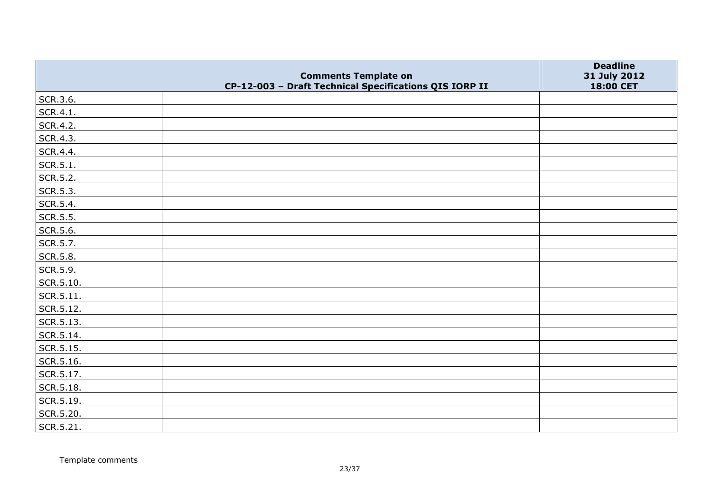|                   |                                                                                       | <b>Deadline</b>           |
|-------------------|---------------------------------------------------------------------------------------|---------------------------|
|                   | <b>Comments Template on</b><br>CP-12-003 - Draft Technical Specifications QIS IORP II | 31 July 2012<br>18:00 CET |
| SCR.3.6.          |                                                                                       |                           |
| SCR.4.1.          |                                                                                       |                           |
| SCR.4.2.          |                                                                                       |                           |
| SCR.4.3.          |                                                                                       |                           |
| SCR.4.4.          |                                                                                       |                           |
| SCR.5.1.          |                                                                                       |                           |
| SCR.5.2.          |                                                                                       |                           |
| SCR.5.3.          |                                                                                       |                           |
| SCR.5.4.          |                                                                                       |                           |
| SCR.5.5.          |                                                                                       |                           |
| SCR.5.6.          |                                                                                       |                           |
| SCR.5.7.          |                                                                                       |                           |
| SCR.5.8.          |                                                                                       |                           |
| SCR.5.9.          |                                                                                       |                           |
| SCR.5.10.         |                                                                                       |                           |
| SCR.5.11.         |                                                                                       |                           |
| SCR.5.12.         |                                                                                       |                           |
| $\vert$ SCR.5.13. |                                                                                       |                           |
| $ $ SCR.5.14.     |                                                                                       |                           |
| SCR.5.15.         |                                                                                       |                           |
| SCR.5.16.         |                                                                                       |                           |
| SCR.5.17.         |                                                                                       |                           |
| SCR.5.18.         |                                                                                       |                           |
| SCR.5.19.         |                                                                                       |                           |
| SCR.5.20.         |                                                                                       |                           |
| SCR.5.21.         |                                                                                       |                           |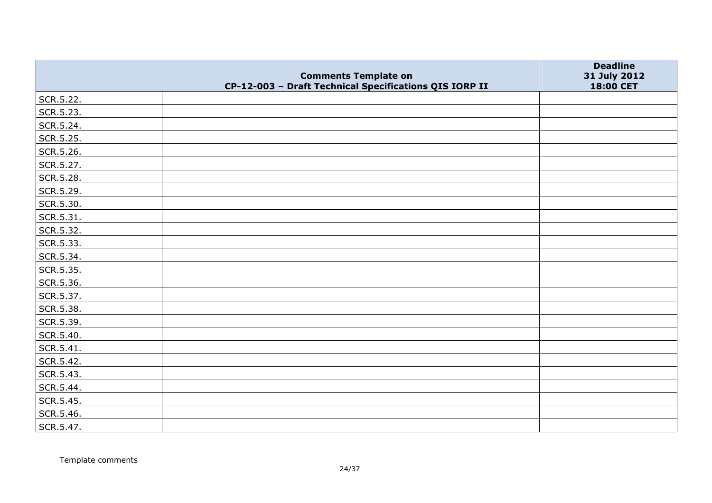|           |                                                                                       | <b>Deadline</b>           |
|-----------|---------------------------------------------------------------------------------------|---------------------------|
|           | <b>Comments Template on</b><br>CP-12-003 - Draft Technical Specifications QIS IORP II | 31 July 2012<br>18:00 CET |
| SCR.5.22. |                                                                                       |                           |
| SCR.5.23. |                                                                                       |                           |
| SCR.5.24. |                                                                                       |                           |
| SCR.5.25. |                                                                                       |                           |
| SCR.5.26. |                                                                                       |                           |
| SCR.5.27. |                                                                                       |                           |
| SCR.5.28. |                                                                                       |                           |
| SCR.5.29. |                                                                                       |                           |
| SCR.5.30. |                                                                                       |                           |
| SCR.5.31. |                                                                                       |                           |
| SCR.5.32. |                                                                                       |                           |
| SCR.5.33. |                                                                                       |                           |
| SCR.5.34. |                                                                                       |                           |
| SCR.5.35. |                                                                                       |                           |
| SCR.5.36. |                                                                                       |                           |
| SCR.5.37. |                                                                                       |                           |
| SCR.5.38. |                                                                                       |                           |
| SCR.5.39. |                                                                                       |                           |
| SCR.5.40. |                                                                                       |                           |
| SCR.5.41. |                                                                                       |                           |
| SCR.5.42. |                                                                                       |                           |
| SCR.5.43. |                                                                                       |                           |
| SCR.5.44. |                                                                                       |                           |
| SCR.5.45. |                                                                                       |                           |
| SCR.5.46. |                                                                                       |                           |
| SCR.5.47. |                                                                                       |                           |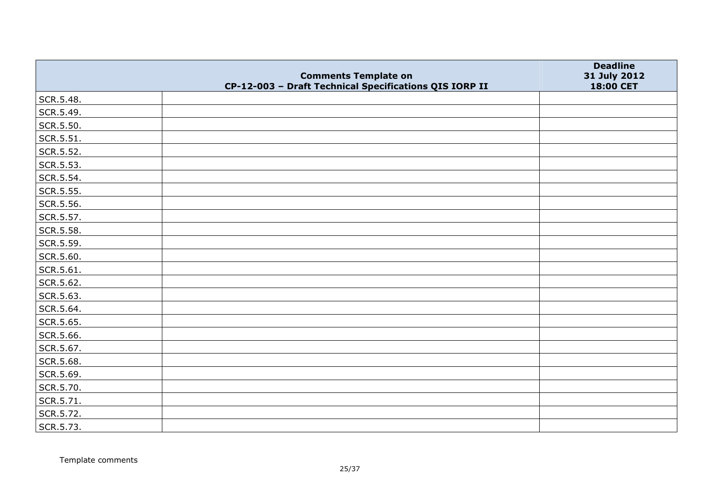|           | <b>Comments Template on</b>                            | <b>Deadline</b><br>31 July 2012 |
|-----------|--------------------------------------------------------|---------------------------------|
|           | CP-12-003 - Draft Technical Specifications QIS IORP II | 18:00 CET                       |
| SCR.5.48. |                                                        |                                 |
| SCR.5.49. |                                                        |                                 |
| SCR.5.50. |                                                        |                                 |
| SCR.5.51. |                                                        |                                 |
| SCR.5.52. |                                                        |                                 |
| SCR.5.53. |                                                        |                                 |
| SCR.5.54. |                                                        |                                 |
| SCR.5.55. |                                                        |                                 |
| SCR.5.56. |                                                        |                                 |
| SCR.5.57. |                                                        |                                 |
| SCR.5.58. |                                                        |                                 |
| SCR.5.59. |                                                        |                                 |
| SCR.5.60. |                                                        |                                 |
| SCR.5.61. |                                                        |                                 |
| SCR.5.62. |                                                        |                                 |
| SCR.5.63. |                                                        |                                 |
| SCR.5.64. |                                                        |                                 |
| SCR.5.65. |                                                        |                                 |
| SCR.5.66. |                                                        |                                 |
| SCR.5.67. |                                                        |                                 |
| SCR.5.68. |                                                        |                                 |
| SCR.5.69. |                                                        |                                 |
| SCR.5.70. |                                                        |                                 |
| SCR.5.71. |                                                        |                                 |
| SCR.5.72. |                                                        |                                 |
| SCR.5.73. |                                                        |                                 |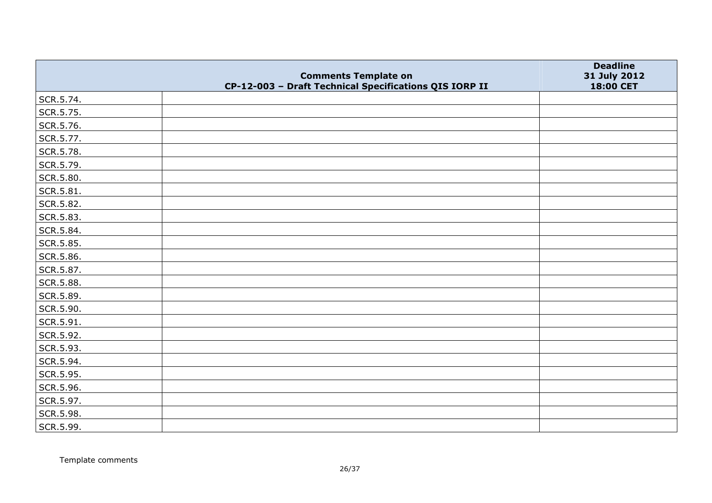|                   |                                                                                       | <b>Deadline</b>           |
|-------------------|---------------------------------------------------------------------------------------|---------------------------|
|                   | <b>Comments Template on</b><br>CP-12-003 - Draft Technical Specifications QIS IORP II | 31 July 2012<br>18:00 CET |
| SCR.5.74.         |                                                                                       |                           |
| SCR.5.75.         |                                                                                       |                           |
| SCR.5.76.         |                                                                                       |                           |
| SCR.5.77.         |                                                                                       |                           |
| SCR.5.78.         |                                                                                       |                           |
| SCR.5.79.         |                                                                                       |                           |
| SCR.5.80.         |                                                                                       |                           |
| $\vert$ SCR.5.81. |                                                                                       |                           |
| SCR.5.82.         |                                                                                       |                           |
| SCR.5.83.         |                                                                                       |                           |
| SCR.5.84.         |                                                                                       |                           |
| SCR.5.85.         |                                                                                       |                           |
| SCR.5.86.         |                                                                                       |                           |
| SCR.5.87.         |                                                                                       |                           |
| SCR.5.88.         |                                                                                       |                           |
| SCR.5.89.         |                                                                                       |                           |
| SCR.5.90.         |                                                                                       |                           |
| SCR.5.91.         |                                                                                       |                           |
| SCR.5.92.         |                                                                                       |                           |
| SCR.5.93.         |                                                                                       |                           |
| SCR.5.94.         |                                                                                       |                           |
| SCR.5.95.         |                                                                                       |                           |
| SCR.5.96.         |                                                                                       |                           |
| SCR.5.97.         |                                                                                       |                           |
| SCR.5.98.         |                                                                                       |                           |
| SCR.5.99.         |                                                                                       |                           |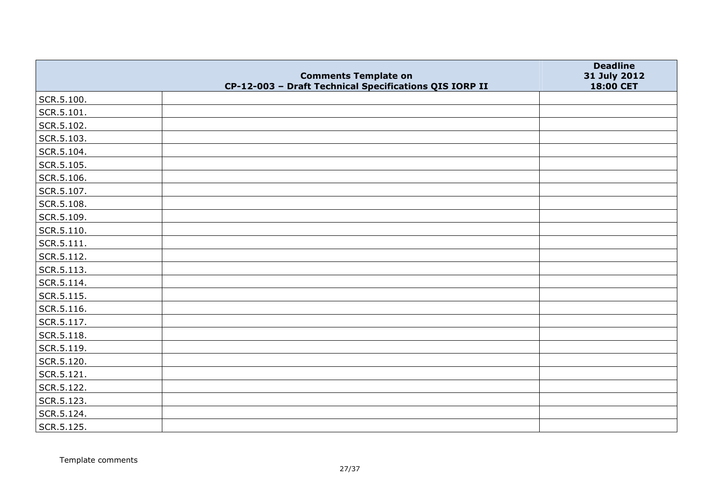|            | <b>Comments Template on</b>                            | <b>Deadline</b><br>31 July 2012 |
|------------|--------------------------------------------------------|---------------------------------|
|            | CP-12-003 - Draft Technical Specifications QIS IORP II | 18:00 CET                       |
| SCR.5.100. |                                                        |                                 |
| SCR.5.101. |                                                        |                                 |
| SCR.5.102. |                                                        |                                 |
| SCR.5.103. |                                                        |                                 |
| SCR.5.104. |                                                        |                                 |
| SCR.5.105. |                                                        |                                 |
| SCR.5.106. |                                                        |                                 |
| SCR.5.107. |                                                        |                                 |
| SCR.5.108. |                                                        |                                 |
| SCR.5.109. |                                                        |                                 |
| SCR.5.110. |                                                        |                                 |
| SCR.5.111. |                                                        |                                 |
| SCR.5.112. |                                                        |                                 |
| SCR.5.113. |                                                        |                                 |
| SCR.5.114. |                                                        |                                 |
| SCR.5.115. |                                                        |                                 |
| SCR.5.116. |                                                        |                                 |
| SCR.5.117. |                                                        |                                 |
| SCR.5.118. |                                                        |                                 |
| SCR.5.119. |                                                        |                                 |
| SCR.5.120. |                                                        |                                 |
| SCR.5.121. |                                                        |                                 |
| SCR.5.122. |                                                        |                                 |
| SCR.5.123. |                                                        |                                 |
| SCR.5.124. |                                                        |                                 |
| SCR.5.125. |                                                        |                                 |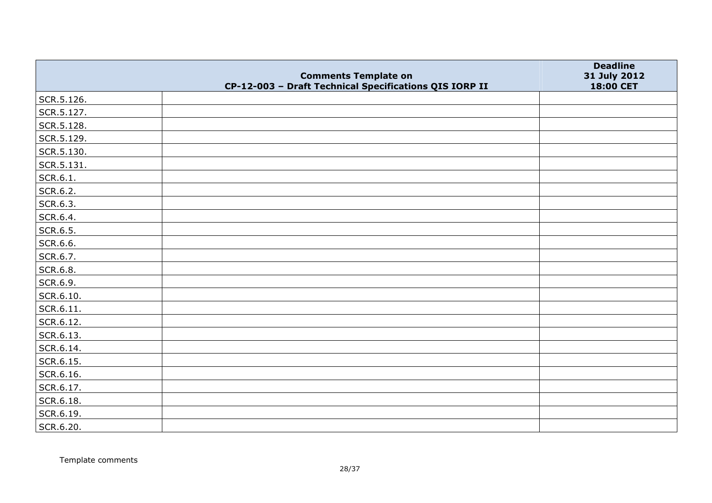|            | <b>Comments Template on</b>                            | <b>Deadline</b>           |
|------------|--------------------------------------------------------|---------------------------|
|            | CP-12-003 - Draft Technical Specifications QIS IORP II | 31 July 2012<br>18:00 CET |
| SCR.5.126. |                                                        |                           |
| SCR.5.127. |                                                        |                           |
| SCR.5.128. |                                                        |                           |
| SCR.5.129. |                                                        |                           |
| SCR.5.130. |                                                        |                           |
| SCR.5.131. |                                                        |                           |
| SCR.6.1.   |                                                        |                           |
| SCR.6.2.   |                                                        |                           |
| SCR.6.3.   |                                                        |                           |
| SCR.6.4.   |                                                        |                           |
| SCR.6.5.   |                                                        |                           |
| SCR.6.6.   |                                                        |                           |
| SCR.6.7.   |                                                        |                           |
| SCR.6.8.   |                                                        |                           |
| SCR.6.9.   |                                                        |                           |
| SCR.6.10.  |                                                        |                           |
| SCR.6.11.  |                                                        |                           |
| SCR.6.12.  |                                                        |                           |
| SCR.6.13.  |                                                        |                           |
| SCR.6.14.  |                                                        |                           |
| SCR.6.15.  |                                                        |                           |
| SCR.6.16.  |                                                        |                           |
| SCR.6.17.  |                                                        |                           |
| SCR.6.18.  |                                                        |                           |
| SCR.6.19.  |                                                        |                           |
| SCR.6.20.  |                                                        |                           |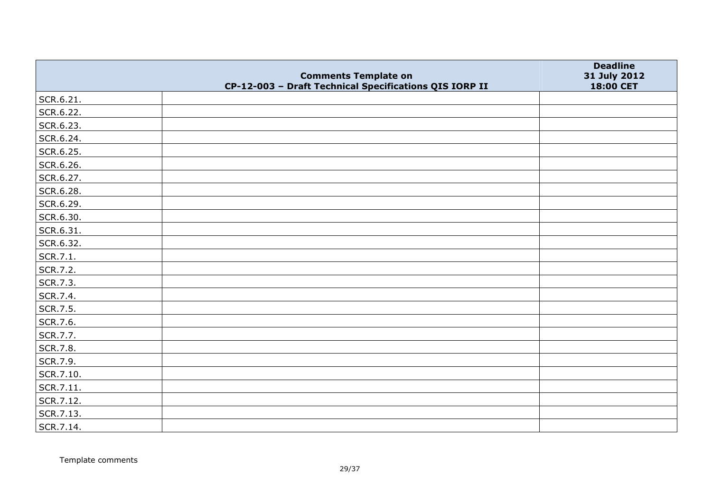|           |                                                                                       | <b>Deadline</b>           |
|-----------|---------------------------------------------------------------------------------------|---------------------------|
|           | <b>Comments Template on</b><br>CP-12-003 - Draft Technical Specifications QIS IORP II | 31 July 2012<br>18:00 CET |
| SCR.6.21. |                                                                                       |                           |
| SCR.6.22. |                                                                                       |                           |
| SCR.6.23. |                                                                                       |                           |
| SCR.6.24. |                                                                                       |                           |
| SCR.6.25. |                                                                                       |                           |
| SCR.6.26. |                                                                                       |                           |
| SCR.6.27. |                                                                                       |                           |
| SCR.6.28. |                                                                                       |                           |
| SCR.6.29. |                                                                                       |                           |
| SCR.6.30. |                                                                                       |                           |
| SCR.6.31. |                                                                                       |                           |
| SCR.6.32. |                                                                                       |                           |
| SCR.7.1.  |                                                                                       |                           |
| SCR.7.2.  |                                                                                       |                           |
| SCR.7.3.  |                                                                                       |                           |
| SCR.7.4.  |                                                                                       |                           |
| SCR.7.5.  |                                                                                       |                           |
| SCR.7.6.  |                                                                                       |                           |
| SCR.7.7.  |                                                                                       |                           |
| SCR.7.8.  |                                                                                       |                           |
| SCR.7.9.  |                                                                                       |                           |
| SCR.7.10. |                                                                                       |                           |
| SCR.7.11. |                                                                                       |                           |
| SCR.7.12. |                                                                                       |                           |
| SCR.7.13. |                                                                                       |                           |
| SCR.7.14. |                                                                                       |                           |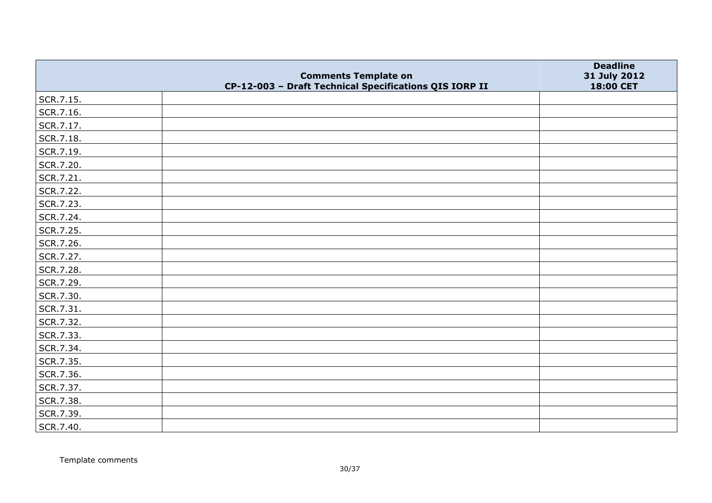|           | <b>Comments Template on</b>                            | <b>Deadline</b><br>31 July 2012 |
|-----------|--------------------------------------------------------|---------------------------------|
|           | CP-12-003 - Draft Technical Specifications QIS IORP II | 18:00 CET                       |
| SCR.7.15. |                                                        |                                 |
| SCR.7.16. |                                                        |                                 |
| SCR.7.17. |                                                        |                                 |
| SCR.7.18. |                                                        |                                 |
| SCR.7.19. |                                                        |                                 |
| SCR.7.20. |                                                        |                                 |
| SCR.7.21. |                                                        |                                 |
| SCR.7.22. |                                                        |                                 |
| SCR.7.23. |                                                        |                                 |
| SCR.7.24. |                                                        |                                 |
| SCR.7.25. |                                                        |                                 |
| SCR.7.26. |                                                        |                                 |
| SCR.7.27. |                                                        |                                 |
| SCR.7.28. |                                                        |                                 |
| SCR.7.29. |                                                        |                                 |
| SCR.7.30. |                                                        |                                 |
| SCR.7.31. |                                                        |                                 |
| SCR.7.32. |                                                        |                                 |
| SCR.7.33. |                                                        |                                 |
| SCR.7.34. |                                                        |                                 |
| SCR.7.35. |                                                        |                                 |
| SCR.7.36. |                                                        |                                 |
| SCR.7.37. |                                                        |                                 |
| SCR.7.38. |                                                        |                                 |
| SCR.7.39. |                                                        |                                 |
| SCR.7.40. |                                                        |                                 |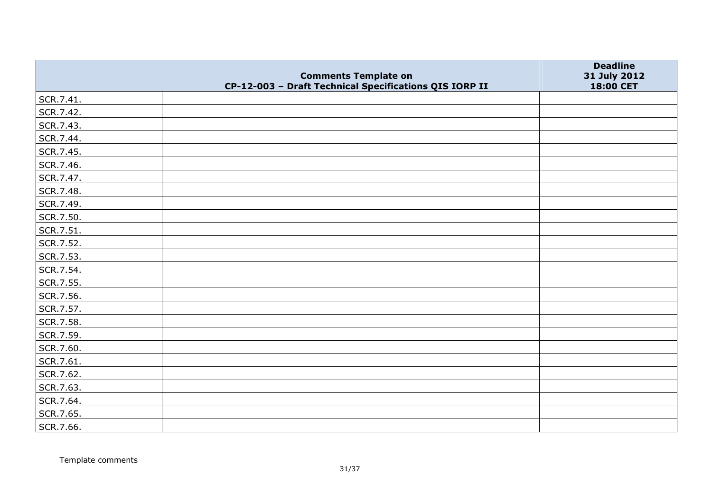|           | <b>Comments Template on</b>                            | <b>Deadline</b><br>31 July 2012 |
|-----------|--------------------------------------------------------|---------------------------------|
|           | CP-12-003 - Draft Technical Specifications QIS IORP II | 18:00 CET                       |
| SCR.7.41. |                                                        |                                 |
| SCR.7.42. |                                                        |                                 |
| SCR.7.43. |                                                        |                                 |
| SCR.7.44. |                                                        |                                 |
| SCR.7.45. |                                                        |                                 |
| SCR.7.46. |                                                        |                                 |
| SCR.7.47. |                                                        |                                 |
| SCR.7.48. |                                                        |                                 |
| SCR.7.49. |                                                        |                                 |
| SCR.7.50. |                                                        |                                 |
| SCR.7.51. |                                                        |                                 |
| SCR.7.52. |                                                        |                                 |
| SCR.7.53. |                                                        |                                 |
| SCR.7.54. |                                                        |                                 |
| SCR.7.55. |                                                        |                                 |
| SCR.7.56. |                                                        |                                 |
| SCR.7.57. |                                                        |                                 |
| SCR.7.58. |                                                        |                                 |
| SCR.7.59. |                                                        |                                 |
| SCR.7.60. |                                                        |                                 |
| SCR.7.61. |                                                        |                                 |
| SCR.7.62. |                                                        |                                 |
| SCR.7.63. |                                                        |                                 |
| SCR.7.64. |                                                        |                                 |
| SCR.7.65. |                                                        |                                 |
| SCR.7.66. |                                                        |                                 |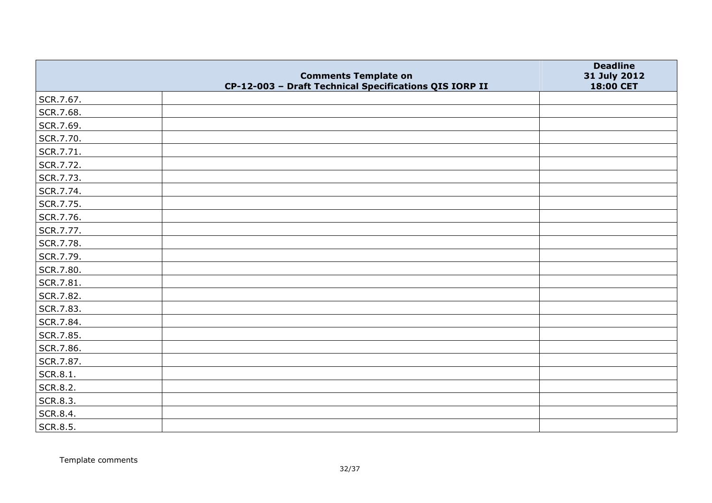|           |                                                                                       | <b>Deadline</b>           |
|-----------|---------------------------------------------------------------------------------------|---------------------------|
|           | <b>Comments Template on</b><br>CP-12-003 - Draft Technical Specifications QIS IORP II | 31 July 2012<br>18:00 CET |
| SCR.7.67. |                                                                                       |                           |
| SCR.7.68. |                                                                                       |                           |
| SCR.7.69. |                                                                                       |                           |
| SCR.7.70. |                                                                                       |                           |
| SCR.7.71. |                                                                                       |                           |
| SCR.7.72. |                                                                                       |                           |
| SCR.7.73. |                                                                                       |                           |
| SCR.7.74. |                                                                                       |                           |
| SCR.7.75. |                                                                                       |                           |
| SCR.7.76. |                                                                                       |                           |
| SCR.7.77. |                                                                                       |                           |
| SCR.7.78. |                                                                                       |                           |
| SCR.7.79. |                                                                                       |                           |
| SCR.7.80. |                                                                                       |                           |
| SCR.7.81. |                                                                                       |                           |
| SCR.7.82. |                                                                                       |                           |
| SCR.7.83. |                                                                                       |                           |
| SCR.7.84. |                                                                                       |                           |
| SCR.7.85. |                                                                                       |                           |
| SCR.7.86. |                                                                                       |                           |
| SCR.7.87. |                                                                                       |                           |
| SCR.8.1.  |                                                                                       |                           |
| SCR.8.2.  |                                                                                       |                           |
| SCR.8.3.  |                                                                                       |                           |
| SCR.8.4.  |                                                                                       |                           |
| SCR.8.5.  |                                                                                       |                           |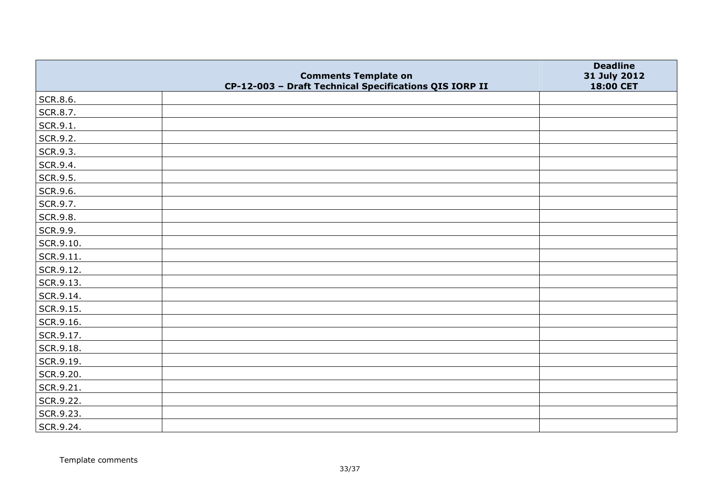|           |                                                                                       | <b>Deadline</b>           |
|-----------|---------------------------------------------------------------------------------------|---------------------------|
|           | <b>Comments Template on</b><br>CP-12-003 - Draft Technical Specifications QIS IORP II | 31 July 2012<br>18:00 CET |
| SCR.8.6.  |                                                                                       |                           |
| SCR.8.7.  |                                                                                       |                           |
| SCR.9.1.  |                                                                                       |                           |
| SCR.9.2.  |                                                                                       |                           |
| SCR.9.3.  |                                                                                       |                           |
| SCR.9.4.  |                                                                                       |                           |
| SCR.9.5.  |                                                                                       |                           |
| SCR.9.6.  |                                                                                       |                           |
| SCR.9.7.  |                                                                                       |                           |
| SCR.9.8.  |                                                                                       |                           |
| SCR.9.9.  |                                                                                       |                           |
| SCR.9.10. |                                                                                       |                           |
| SCR.9.11. |                                                                                       |                           |
| SCR.9.12. |                                                                                       |                           |
| SCR.9.13. |                                                                                       |                           |
| SCR.9.14. |                                                                                       |                           |
| SCR.9.15. |                                                                                       |                           |
| SCR.9.16. |                                                                                       |                           |
| SCR.9.17. |                                                                                       |                           |
| SCR.9.18. |                                                                                       |                           |
| SCR.9.19. |                                                                                       |                           |
| SCR.9.20. |                                                                                       |                           |
| SCR.9.21. |                                                                                       |                           |
| SCR.9.22. |                                                                                       |                           |
| SCR.9.23. |                                                                                       |                           |
| SCR.9.24. |                                                                                       |                           |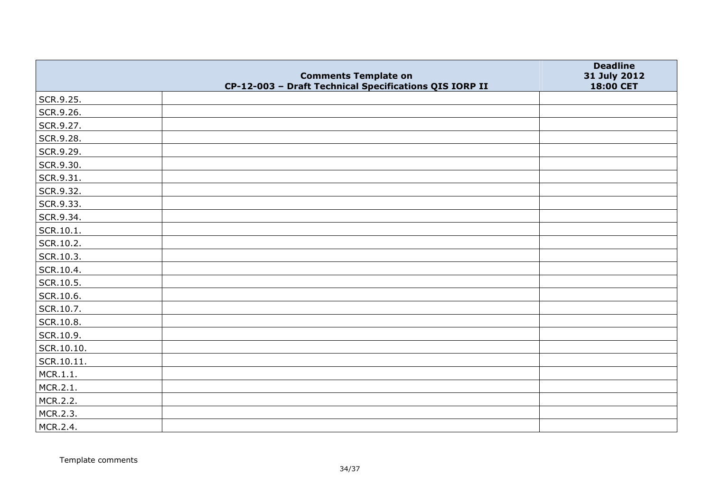|            | <b>Comments Template on</b>                            | <b>Deadline</b><br>31 July 2012 |
|------------|--------------------------------------------------------|---------------------------------|
|            | CP-12-003 - Draft Technical Specifications QIS IORP II | 18:00 CET                       |
| SCR.9.25.  |                                                        |                                 |
| SCR.9.26.  |                                                        |                                 |
| SCR.9.27.  |                                                        |                                 |
| SCR.9.28.  |                                                        |                                 |
| SCR.9.29.  |                                                        |                                 |
| SCR.9.30.  |                                                        |                                 |
| SCR.9.31.  |                                                        |                                 |
| SCR.9.32.  |                                                        |                                 |
| SCR.9.33.  |                                                        |                                 |
| SCR.9.34.  |                                                        |                                 |
| SCR.10.1.  |                                                        |                                 |
| SCR.10.2.  |                                                        |                                 |
| SCR.10.3.  |                                                        |                                 |
| SCR.10.4.  |                                                        |                                 |
| SCR.10.5.  |                                                        |                                 |
| SCR.10.6.  |                                                        |                                 |
| SCR.10.7.  |                                                        |                                 |
| SCR.10.8.  |                                                        |                                 |
| SCR.10.9.  |                                                        |                                 |
| SCR.10.10. |                                                        |                                 |
| SCR.10.11. |                                                        |                                 |
| MCR.1.1.   |                                                        |                                 |
| MCR.2.1.   |                                                        |                                 |
| MCR.2.2.   |                                                        |                                 |
| MCR.2.3.   |                                                        |                                 |
| MCR.2.4.   |                                                        |                                 |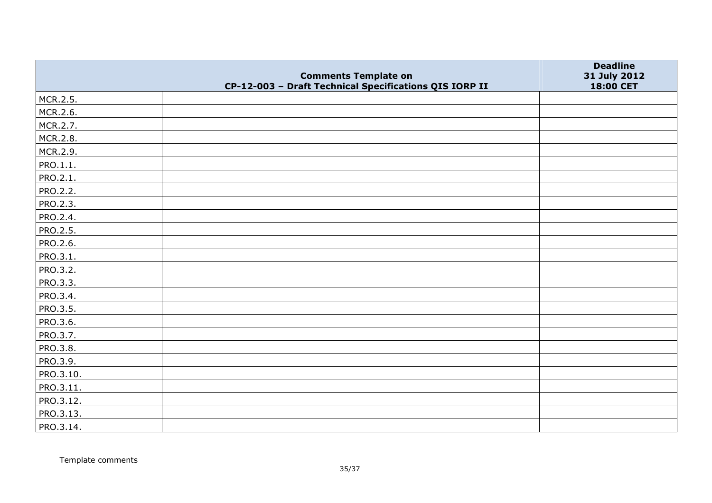|           | <b>Comments Template on</b>                            | <b>Deadline</b><br>31 July 2012 |
|-----------|--------------------------------------------------------|---------------------------------|
|           | CP-12-003 - Draft Technical Specifications QIS IORP II | 18:00 CET                       |
| MCR.2.5.  |                                                        |                                 |
| MCR.2.6.  |                                                        |                                 |
| MCR.2.7.  |                                                        |                                 |
| MCR.2.8.  |                                                        |                                 |
| MCR.2.9.  |                                                        |                                 |
| PRO.1.1.  |                                                        |                                 |
| PRO.2.1.  |                                                        |                                 |
| PRO.2.2.  |                                                        |                                 |
| PRO.2.3.  |                                                        |                                 |
| PRO.2.4.  |                                                        |                                 |
| PRO.2.5.  |                                                        |                                 |
| PRO.2.6.  |                                                        |                                 |
| PRO.3.1.  |                                                        |                                 |
| PRO.3.2.  |                                                        |                                 |
| PRO.3.3.  |                                                        |                                 |
| PRO.3.4.  |                                                        |                                 |
| PRO.3.5.  |                                                        |                                 |
| PRO.3.6.  |                                                        |                                 |
| PRO.3.7.  |                                                        |                                 |
| PRO.3.8.  |                                                        |                                 |
| PRO.3.9.  |                                                        |                                 |
| PRO.3.10. |                                                        |                                 |
| PRO.3.11. |                                                        |                                 |
| PRO.3.12. |                                                        |                                 |
| PRO.3.13. |                                                        |                                 |
| PRO.3.14. |                                                        |                                 |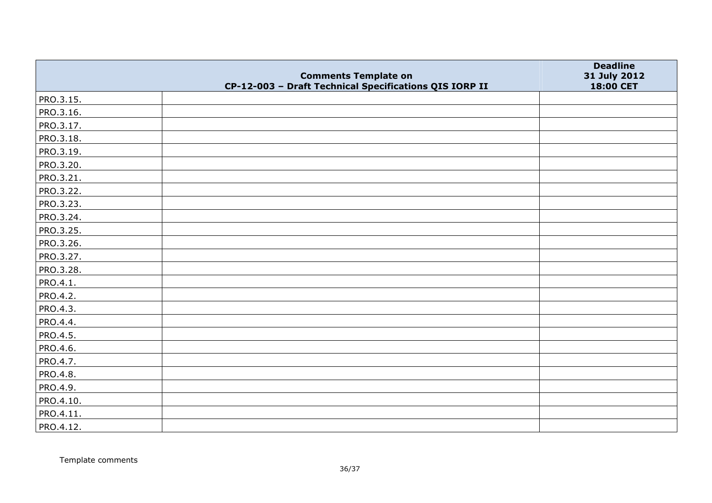|           |                                                                                       | <b>Deadline</b>           |
|-----------|---------------------------------------------------------------------------------------|---------------------------|
|           | <b>Comments Template on</b><br>CP-12-003 - Draft Technical Specifications QIS IORP II | 31 July 2012<br>18:00 CET |
| PRO.3.15. |                                                                                       |                           |
| PRO.3.16. |                                                                                       |                           |
| PRO.3.17. |                                                                                       |                           |
| PRO.3.18. |                                                                                       |                           |
| PRO.3.19. |                                                                                       |                           |
| PRO.3.20. |                                                                                       |                           |
| PRO.3.21. |                                                                                       |                           |
| PRO.3.22. |                                                                                       |                           |
| PRO.3.23. |                                                                                       |                           |
| PRO.3.24. |                                                                                       |                           |
| PRO.3.25. |                                                                                       |                           |
| PRO.3.26. |                                                                                       |                           |
| PRO.3.27. |                                                                                       |                           |
| PRO.3.28. |                                                                                       |                           |
| PRO.4.1.  |                                                                                       |                           |
| PRO.4.2.  |                                                                                       |                           |
| PRO.4.3.  |                                                                                       |                           |
| PRO.4.4.  |                                                                                       |                           |
| PRO.4.5.  |                                                                                       |                           |
| PRO.4.6.  |                                                                                       |                           |
| PRO.4.7.  |                                                                                       |                           |
| PRO.4.8.  |                                                                                       |                           |
| PRO.4.9.  |                                                                                       |                           |
| PRO.4.10. |                                                                                       |                           |
| PRO.4.11. |                                                                                       |                           |
| PRO.4.12. |                                                                                       |                           |